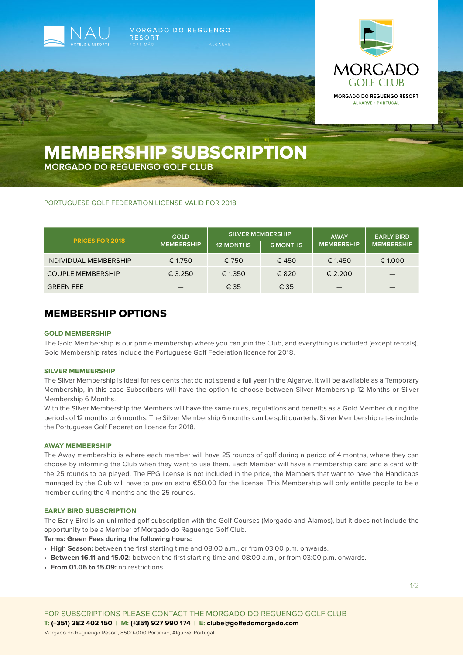



# MEMBERSHIP SUBSCRIPTION

MORGADO DO REGUENGO

**MORGADO DO REGUENGO GOLF CLUB**

# PORTUGUESE GOLF FEDERATION LICENSE VALID FOR 2018

**RESORT** 

| <b>PRICES FOR 2018</b>   | <b>GOLD</b><br><b>MEMBERSHIP</b> | <b>SILVER MEMBERSHIP</b><br><b>12 MONTHS</b> | <b>6 MONTHS</b> | <b>AWAY</b><br><b>MEMBERSHIP</b> | <b>EARLY BIRD</b><br><b>MEMBERSHIP</b> |
|--------------------------|----------------------------------|----------------------------------------------|-----------------|----------------------------------|----------------------------------------|
| INDIVIDUAL MEMBERSHIP    | € 1.750                          | € 750                                        | €450            | € 1.450                          | € 1.000                                |
| <b>COUPLE MEMBERSHIP</b> | € 3.250                          | € 1.350                                      | € 820           | £ 2.200                          | _                                      |
| <b>GREEN FEE</b>         |                                  | € 35                                         | € 35            |                                  |                                        |

# MEMBERSHIP OPTIONS

#### **GOLD MEMBERSHIP**

The Gold Membership is our prime membership where you can join the Club, and everything is included (except rentals). Gold Membership rates include the Portuguese Golf Federation licence for 2018.

# **SILVER MEMBERSHIP**

The Silver Membership is ideal for residents that do not spend a full year in the Algarve, it will be available as a Temporary Membership, in this case Subscribers will have the option to choose between Silver Membership 12 Months or Silver Membership 6 Months.

With the Silver Membership the Members will have the same rules, regulations and benefits as a Gold Member during the periods of 12 months or 6 months. The Silver Membership 6 months can be split quarterly. Silver Membership rates include the Portuguese Golf Federation licence for 2018.

#### **AWAY MEMBERSHIP**

The Away membership is where each member will have 25 rounds of golf during a period of 4 months, where they can choose by informing the Club when they want to use them. Each Member will have a membership card and a card with the 25 rounds to be played. The FPG license is not included in the price, the Members that want to have the Handicaps managed by the Club will have to pay an extra €50,00 for the license. This Membership will only entitle people to be a member during the 4 months and the 25 rounds.

#### **EARLY BIRD SUBSCRIPTION**

The Early Bird is an unlimited golf subscription with the Golf Courses (Morgado and Álamos), but it does not include the opportunity to be a Member of Morgado do Reguengo Golf Club.

### **Terms: Green Fees during the following hours:**

- **• High Season:** between the first starting time and 08:00 a.m., or from 03:00 p.m. onwards.
- **• Between 16.11 and 15.02:** between the first starting time and 08:00 a.m., or from 03:00 p.m. onwards.
- **• From 01.06 to 15.09:** no restrictions